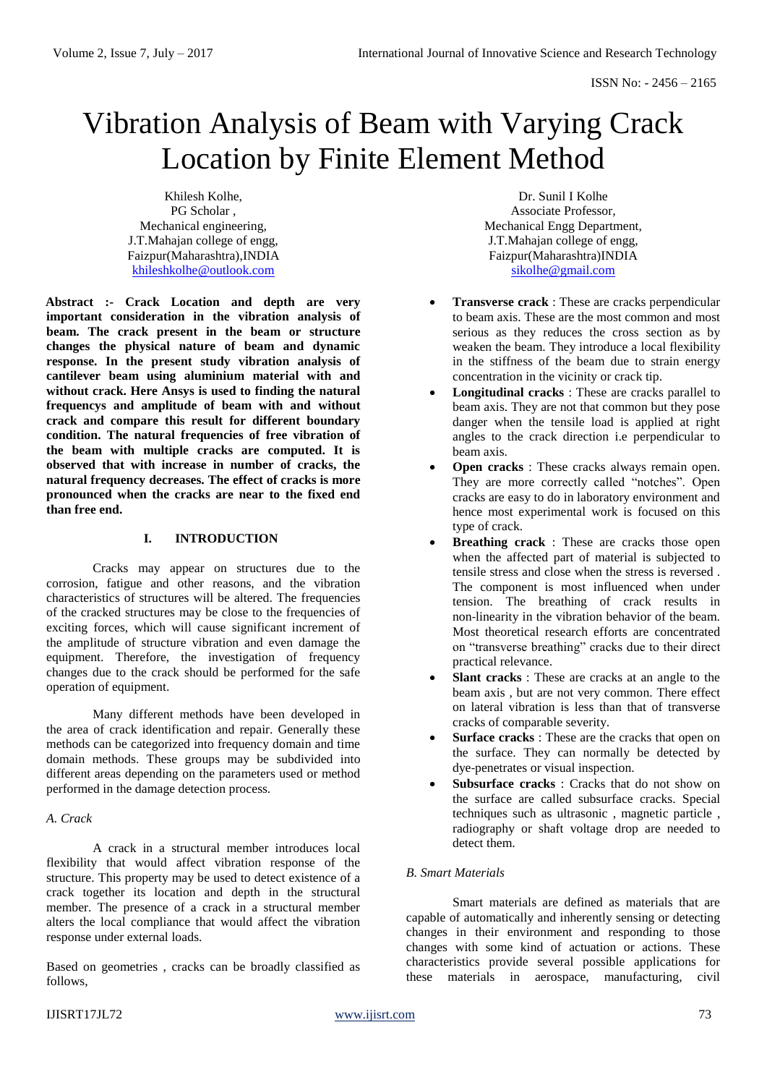# Vibration Analysis of Beam with Varying Crack Location by Finite Element Method

Khilesh Kolhe, PG Scholar , Mechanical engineering, J.T.Mahajan college of engg, Faizpur(Maharashtra),INDIA [khileshkolhe@outlook.com](mailto:khileshkolhe@outlook.com)

**Abstract :- Crack Location and depth are very important consideration in the vibration analysis of beam. The crack present in the beam or structure changes the physical nature of beam and dynamic response. In the present study vibration analysis of cantilever beam using aluminium material with and without crack. Here Ansys is used to finding the natural frequencys and amplitude of beam with and without crack and compare this result for different boundary condition. The natural frequencies of free vibration of the beam with multiple cracks are computed. It is observed that with increase in number of cracks, the natural frequency decreases. The effect of cracks is more pronounced when the cracks are near to the fixed end than free end.**

## **I. INTRODUCTION**

Cracks may appear on structures due to the corrosion, fatigue and other reasons, and the vibration characteristics of structures will be altered. The frequencies of the cracked structures may be close to the frequencies of exciting forces, which will cause significant increment of the amplitude of structure vibration and even damage the equipment. Therefore, the investigation of frequency changes due to the crack should be performed for the safe operation of equipment.

Many different methods have been developed in the area of crack identification and repair. Generally these methods can be categorized into frequency domain and time domain methods. These groups may be subdivided into different areas depending on the parameters used or method performed in the damage detection process.

#### *A. Crack*

A crack in a structural member introduces local flexibility that would affect vibration response of the structure. This property may be used to detect existence of a crack together its location and depth in the structural member. The presence of a crack in a structural member alters the local compliance that would affect the vibration response under external loads.

Based on geometries , cracks can be broadly classified as follows,

Dr. Sunil I Kolhe Associate Professor, Mechanical Engg Department, J.T.Mahajan college of engg, Faizpur(Maharashtra)INDIA [sikolhe@gmail.com](mailto:sikolhe@gmail.com)

- **Transverse crack** : These are cracks perpendicular to beam axis. These are the most common and most serious as they reduces the cross section as by weaken the beam. They introduce a local flexibility in the stiffness of the beam due to strain energy concentration in the vicinity or crack tip.
- **Longitudinal cracks** : These are cracks parallel to beam axis. They are not that common but they pose danger when the tensile load is applied at right angles to the crack direction i.e perpendicular to beam axis.
- **Open cracks** : These cracks always remain open. They are more correctly called "notches". Open cracks are easy to do in laboratory environment and hence most experimental work is focused on this type of crack.
- **Breathing crack** : These are cracks those open when the affected part of material is subjected to tensile stress and close when the stress is reversed . The component is most influenced when under tension. The breathing of crack results in non‐linearity in the vibration behavior of the beam. Most theoretical research efforts are concentrated on "transverse breathing" cracks due to their direct practical relevance.
- **Slant cracks** : These are cracks at an angle to the beam axis , but are not very common. There effect on lateral vibration is less than that of transverse cracks of comparable severity.
- **Surface cracks** : These are the cracks that open on the surface. They can normally be detected by dye‐penetrates or visual inspection.
- **Subsurface cracks** : Cracks that do not show on the surface are called subsurface cracks. Special techniques such as ultrasonic , magnetic particle , radiography or shaft voltage drop are needed to detect them.

## *B. Smart Materials*

Smart materials are defined as materials that are capable of automatically and inherently sensing or detecting changes in their environment and responding to those changes with some kind of actuation or actions. These characteristics provide several possible applications for these materials in aerospace, manufacturing, civil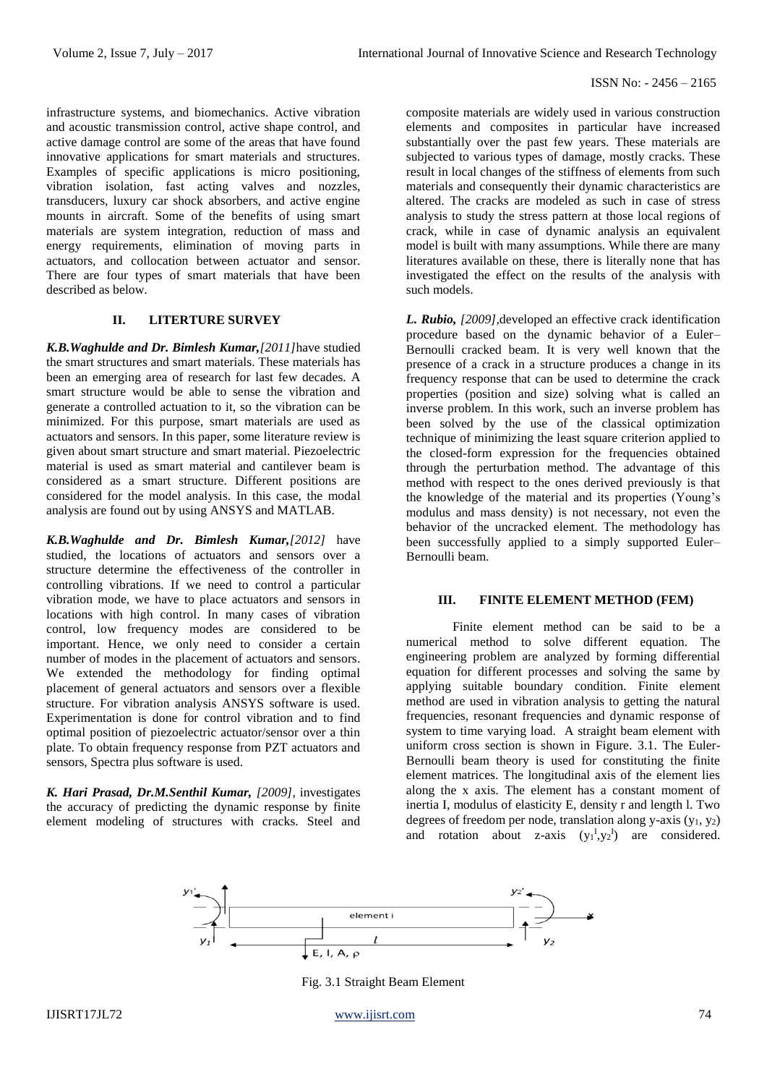infrastructure systems, and biomechanics. Active vibration and acoustic transmission control, active shape control, and active damage control are some of the areas that have found innovative applications for smart materials and structures. Examples of specific applications is micro positioning, vibration isolation, fast acting valves and nozzles, transducers, luxury car shock absorbers, and active engine mounts in aircraft. Some of the benefits of using smart materials are system integration, reduction of mass and energy requirements, elimination of moving parts in actuators, and collocation between actuator and sensor. There are four types of smart materials that have been described as below.

# **II. LITERTURE SURVEY**

*K.B.Waghulde and Dr. Bimlesh Kumar,[2011]*have studied the smart structures and smart materials. These materials has been an emerging area of research for last few decades. A smart structure would be able to sense the vibration and generate a controlled actuation to it, so the vibration can be minimized. For this purpose, smart materials are used as actuators and sensors. In this paper, some literature review is given about smart structure and smart material. Piezoelectric material is used as smart material and cantilever beam is considered as a smart structure. Different positions are considered for the model analysis. In this case, the modal analysis are found out by using ANSYS and MATLAB.

*K.B.Waghulde and Dr. Bimlesh Kumar,[2012]* have studied, the locations of actuators and sensors over a structure determine the effectiveness of the controller in controlling vibrations. If we need to control a particular vibration mode, we have to place actuators and sensors in locations with high control. In many cases of vibration control, low frequency modes are considered to be important. Hence, we only need to consider a certain number of modes in the placement of actuators and sensors. We extended the methodology for finding optimal placement of general actuators and sensors over a flexible structure. For vibration analysis ANSYS software is used. Experimentation is done for control vibration and to find optimal position of piezoelectric actuator/sensor over a thin plate. To obtain frequency response from PZT actuators and sensors, Spectra plus software is used.

*K. Hari Prasad, Dr.M.Senthil Kumar, [2009],* investigates the accuracy of predicting the dynamic response by finite element modeling of structures with cracks. Steel and

composite materials are widely used in various construction elements and composites in particular have increased substantially over the past few years. These materials are subjected to various types of damage, mostly cracks. These result in local changes of the stiffness of elements from such materials and consequently their dynamic characteristics are altered. The cracks are modeled as such in case of stress analysis to study the stress pattern at those local regions of crack, while in case of dynamic analysis an equivalent model is built with many assumptions. While there are many literatures available on these, there is literally none that has investigated the effect on the results of the analysis with such models.

*L. Rubio, [2009],*developed an effective crack identification procedure based on the dynamic behavior of a Euler– Bernoulli cracked beam. It is very well known that the presence of a crack in a structure produces a change in its frequency response that can be used to determine the crack properties (position and size) solving what is called an inverse problem. In this work, such an inverse problem has been solved by the use of the classical optimization technique of minimizing the least square criterion applied to the closed-form expression for the frequencies obtained through the perturbation method. The advantage of this method with respect to the ones derived previously is that the knowledge of the material and its properties (Young's modulus and mass density) is not necessary, not even the behavior of the uncracked element. The methodology has been successfully applied to a simply supported Euler– Bernoulli beam.

#### **III. FINITE ELEMENT METHOD (FEM)**

Finite element method can be said to be a numerical method to solve different equation. The engineering problem are analyzed by forming differential equation for different processes and solving the same by applying suitable boundary condition. Finite element method are used in vibration analysis to getting the natural frequencies, resonant frequencies and dynamic response of system to time varying load. A straight beam element with uniform cross section is shown in Figure. 3.1. The Euler-Bernoulli beam theory is used for constituting the finite element matrices. The longitudinal axis of the element lies along the x axis. The element has a constant moment of inertia I, modulus of elasticity E, density r and length l. Two degrees of freedom per node, translation along y-axis  $(y_1, y_2)$ and rotation about z-axis  $(y_1^I, y_2^I)$  are considered.



Fig. 3.1 Straight Beam Element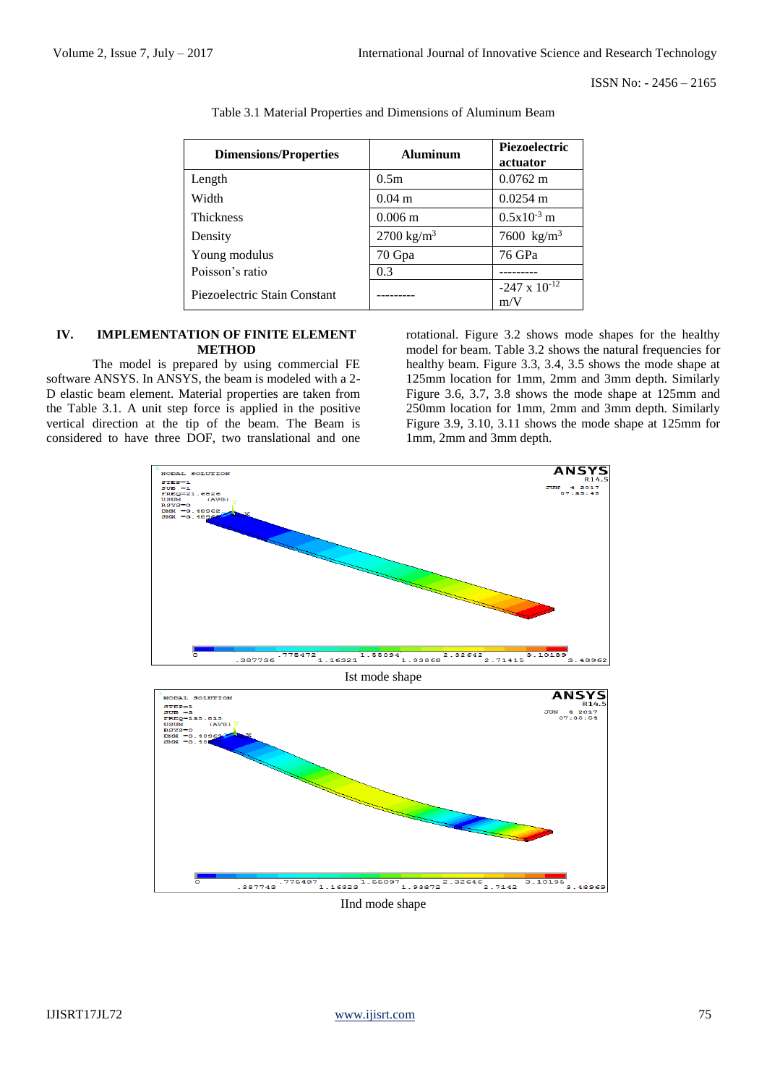| <b>Dimensions/Properties</b> | <b>Aluminum</b>       | Piezoelectric<br>actuator     |  |
|------------------------------|-----------------------|-------------------------------|--|
| Length                       | 0.5m                  | $0.0762 \text{ m}$            |  |
| Width                        | $0.04 \; \mathrm{m}$  | $0.0254 \text{ m}$            |  |
| <b>Thickness</b>             | $0.006 \text{ m}$     | $0.5x10^{-3}$ m               |  |
| Density                      | $2700 \text{ kg/m}^3$ | 7600 $kg/m^3$                 |  |
| Young modulus                | 70 Gpa                | 76 GPa                        |  |
| Poisson's ratio              | 0.3                   |                               |  |
| Piezoelectric Stain Constant |                       | $-247 \times 10^{-12}$<br>m/V |  |

Table 3.1 Material Properties and Dimensions of Aluminum Beam

## **IV. IMPLEMENTATION OF FINITE ELEMENT METHOD**

The model is prepared by using commercial FE software ANSYS. In ANSYS, the beam is modeled with a 2- D elastic beam element. Material properties are taken from the Table 3.1. A unit step force is applied in the positive vertical direction at the tip of the beam. The Beam is considered to have three DOF, two translational and one

rotational. Figure 3.2 shows mode shapes for the healthy model for beam. Table 3.2 shows the natural frequencies for healthy beam. Figure 3.3, 3.4, 3.5 shows the mode shape at 125mm location for 1mm, 2mm and 3mm depth. Similarly Figure 3.6, 3.7, 3.8 shows the mode shape at 125mm and 250mm location for 1mm, 2mm and 3mm depth. Similarly Figure 3.9, 3.10, 3.11 shows the mode shape at 125mm for 1mm, 2mm and 3mm depth.

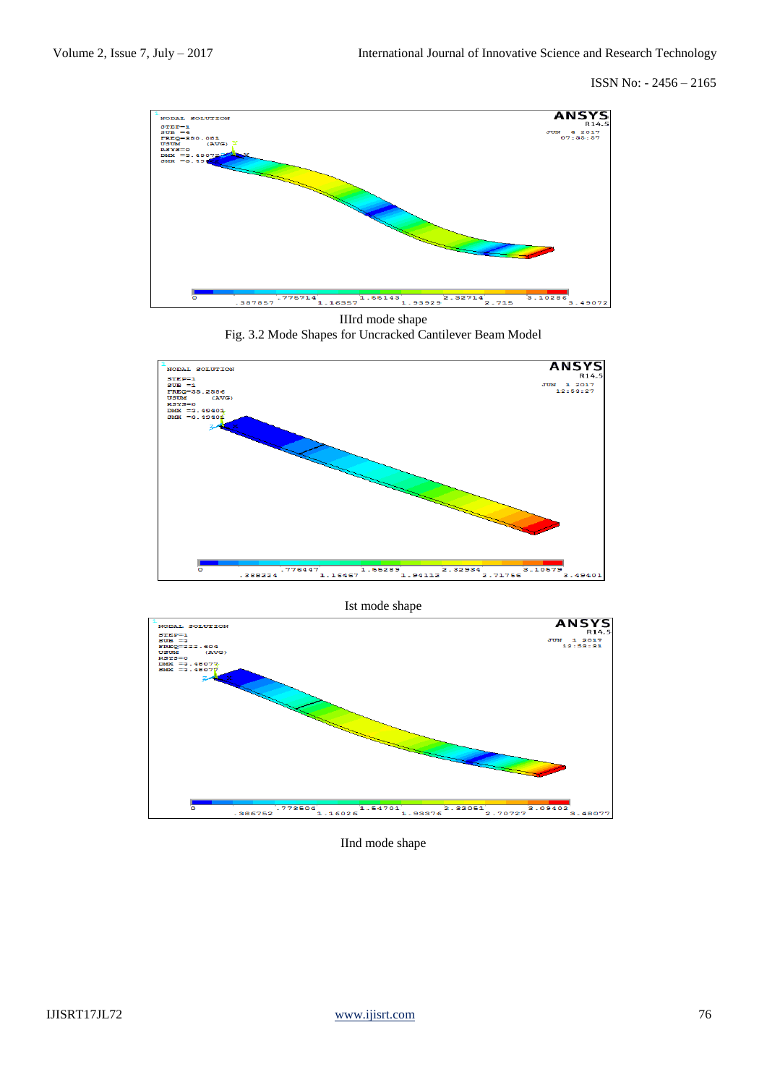

IIIrd mode shape

Fig. 3.2 Mode Shapes for Uncracked Cantilever Beam Model



## Ist mode shape



IInd mode shape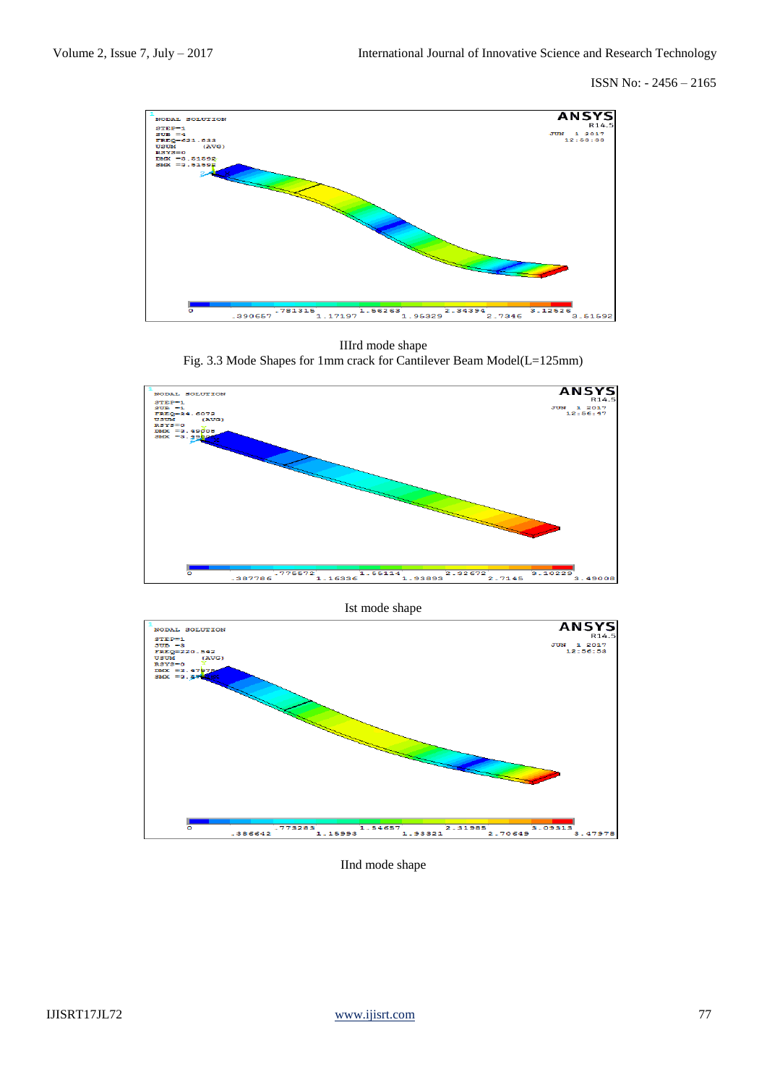

IIIrd mode shape Fig. 3.3 Mode Shapes for 1mm crack for Cantilever Beam Model(L=125mm)



Ist mode shape



IInd mode shape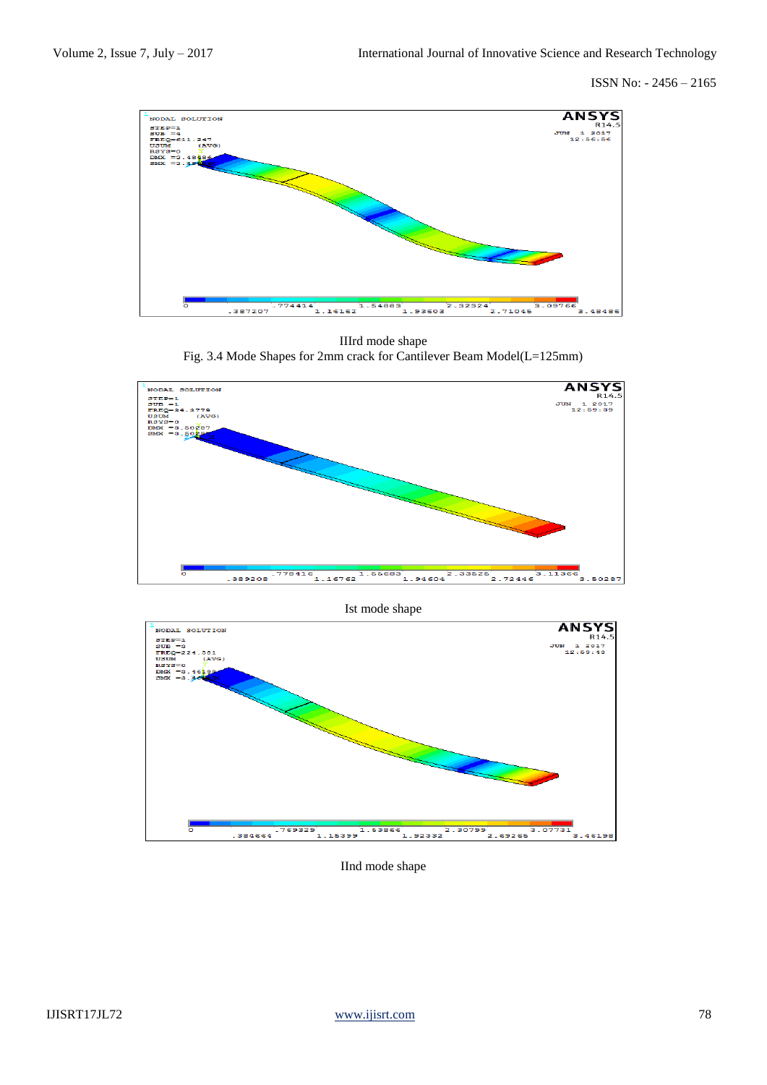

IIIrd mode shape Fig. 3.4 Mode Shapes for 2mm crack for Cantilever Beam Model(L=125mm)



Ist mode shape



IInd mode shape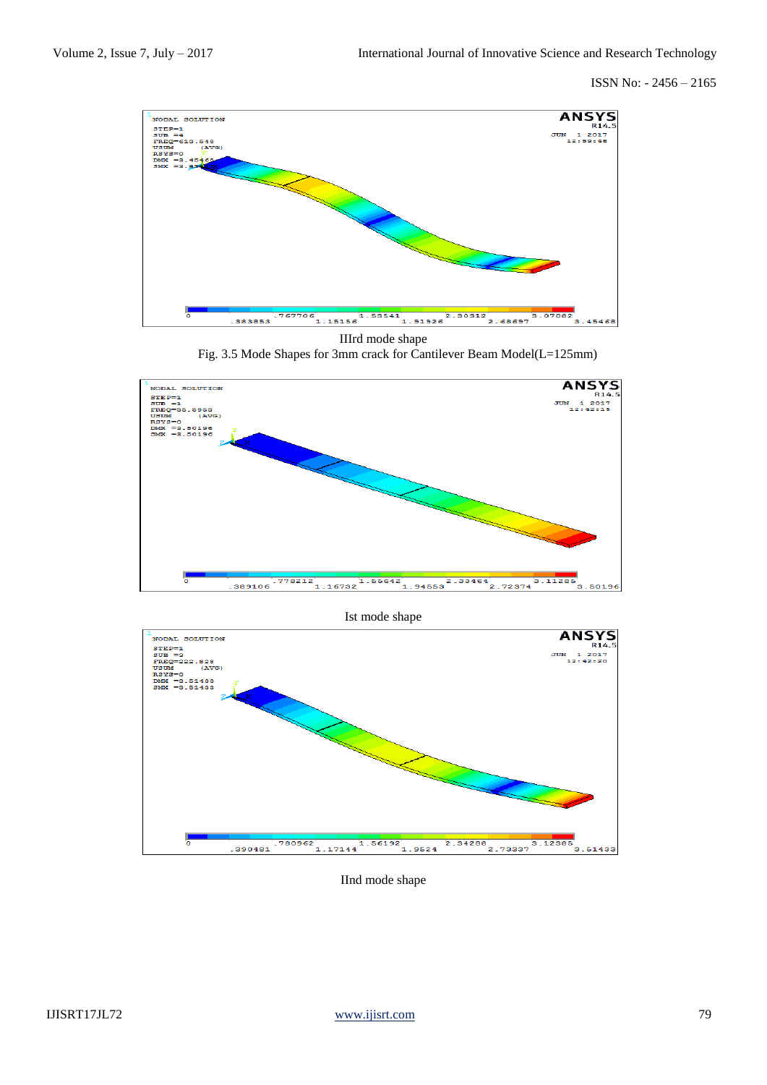

IIIrd mode shape Fig. 3.5 Mode Shapes for 3mm crack for Cantilever Beam Model(L=125mm)



Ist mode shape



IInd mode shape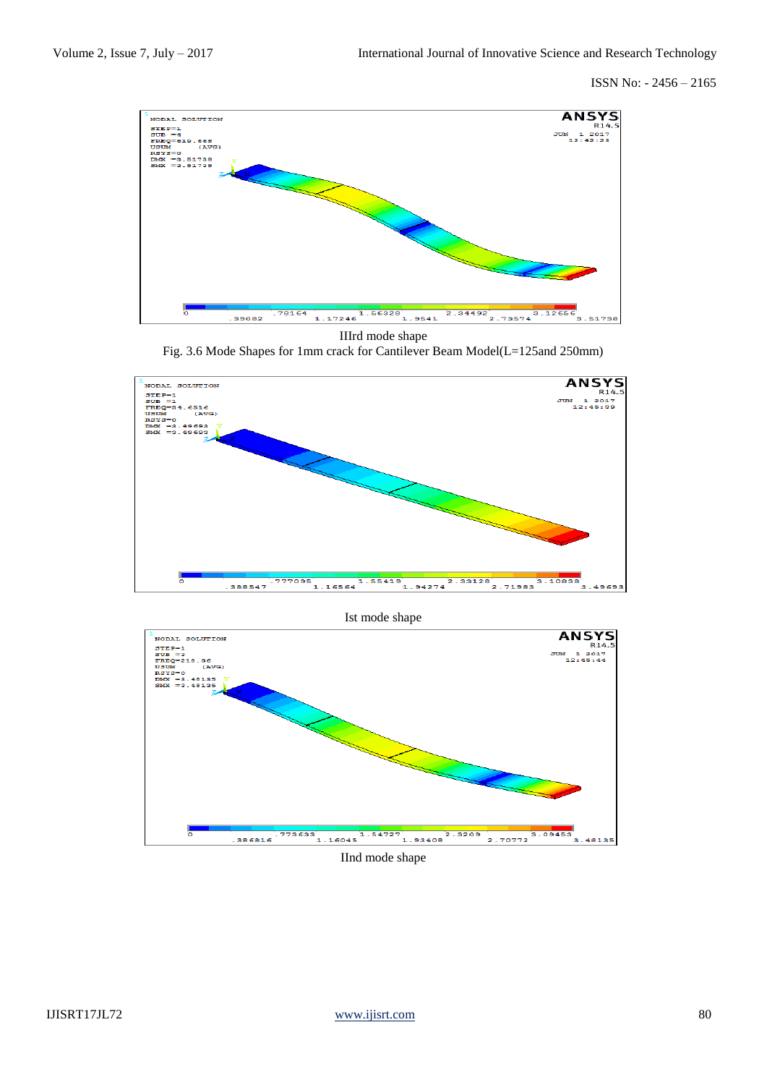

IIIrd mode shape

Fig. 3.6 Mode Shapes for 1mm crack for Cantilever Beam Model(L=125and 250mm)





IInd mode shape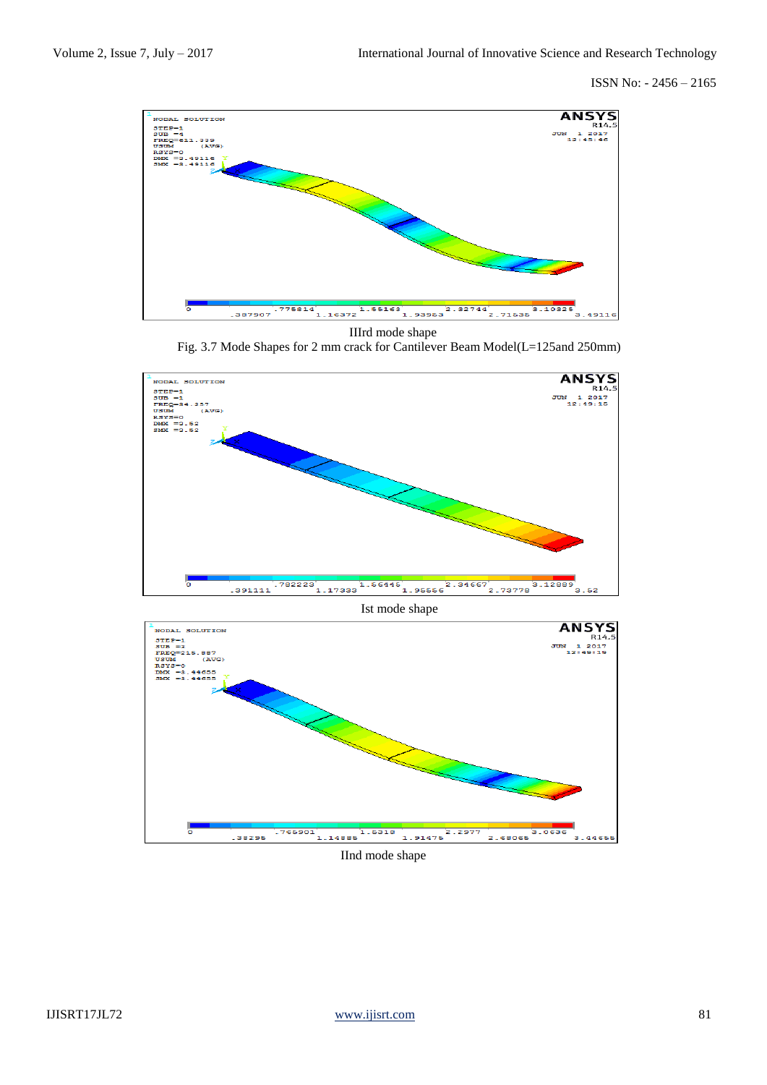

IIIrd mode shape

Fig. 3.7 Mode Shapes for 2 mm crack for Cantilever Beam Model(L=125and 250mm)



Ist mode shape



IInd mode shape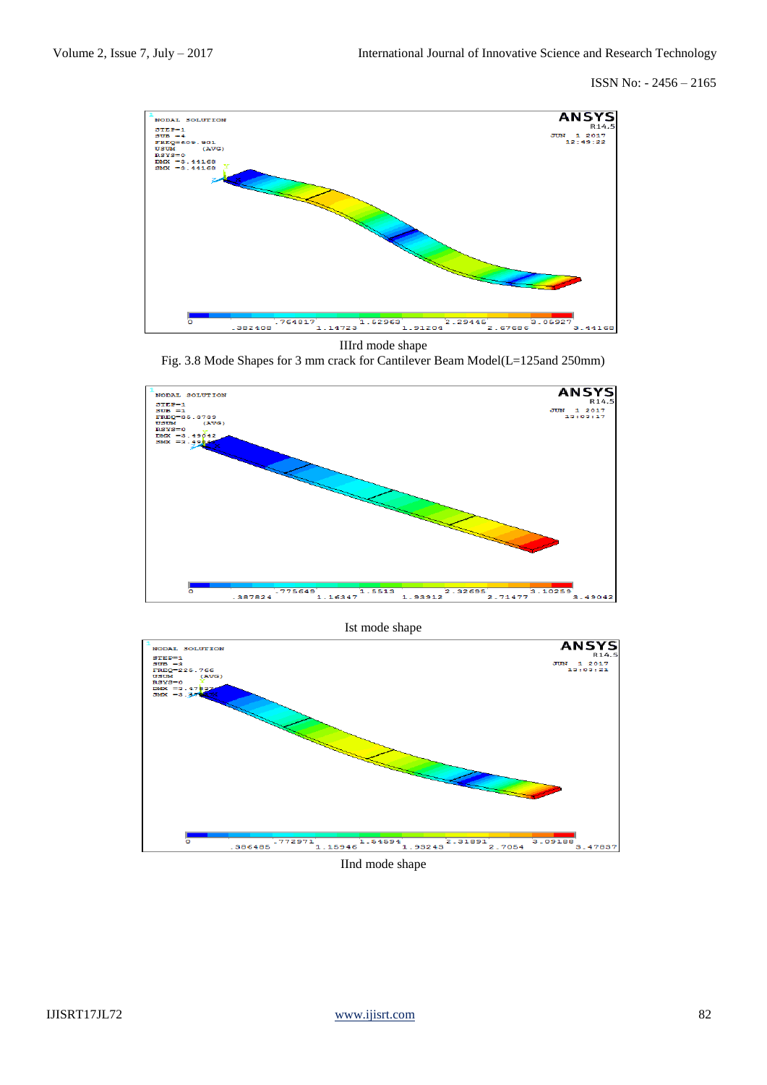

IIIrd mode shape

Fig. 3.8 Mode Shapes for 3 mm crack for Cantilever Beam Model(L=125and 250mm)



Ist mode shape



IInd mode shape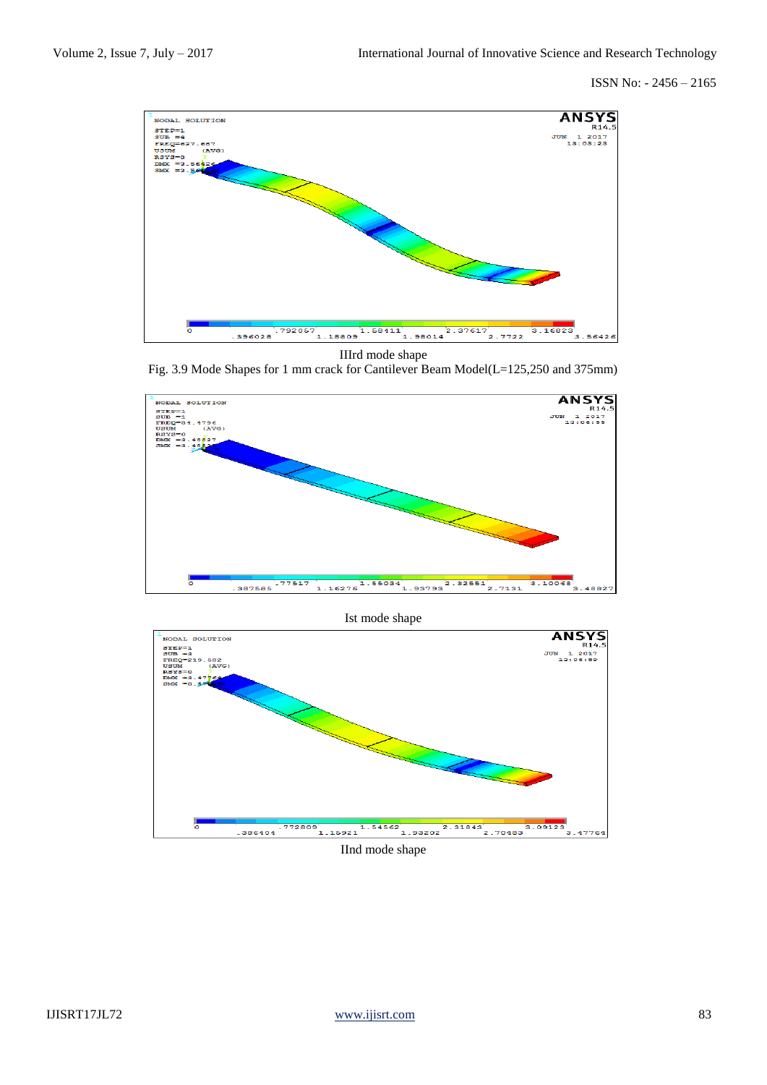

IIIrd mode shape

Fig. 3.9 Mode Shapes for 1 mm crack for Cantilever Beam Model(L=125,250 and 375mm)



Ist mode shape



IInd mode shape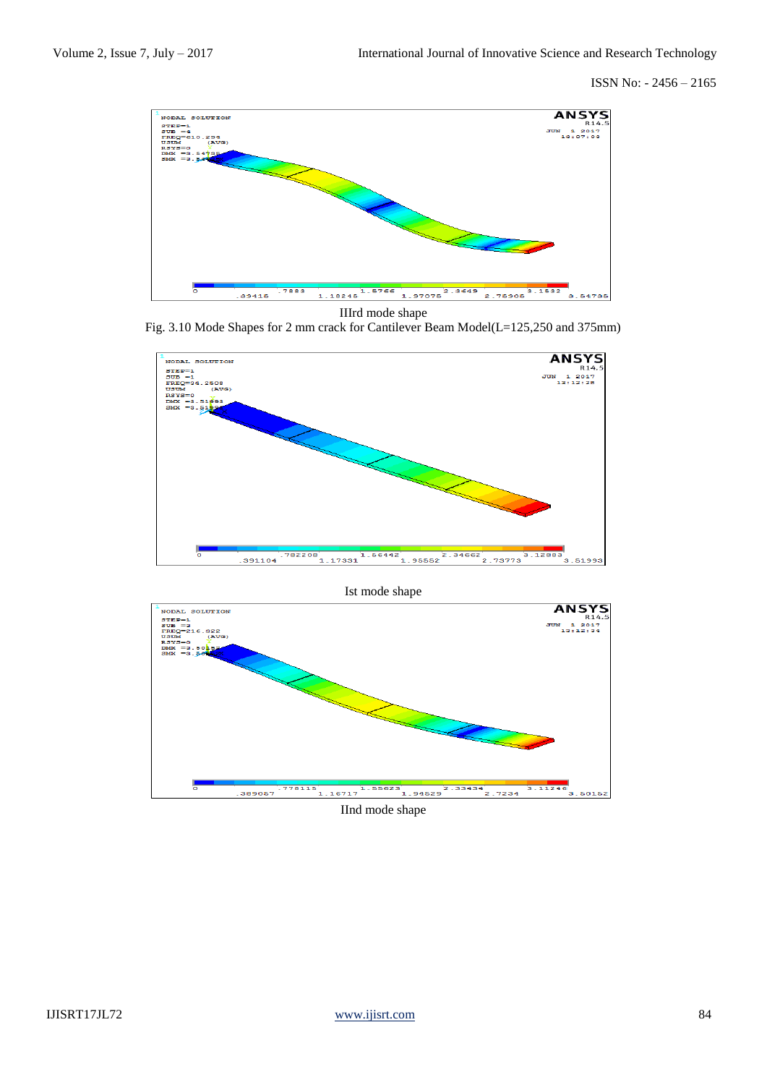

IIIrd mode shape





Ist mode shape



IInd mode shape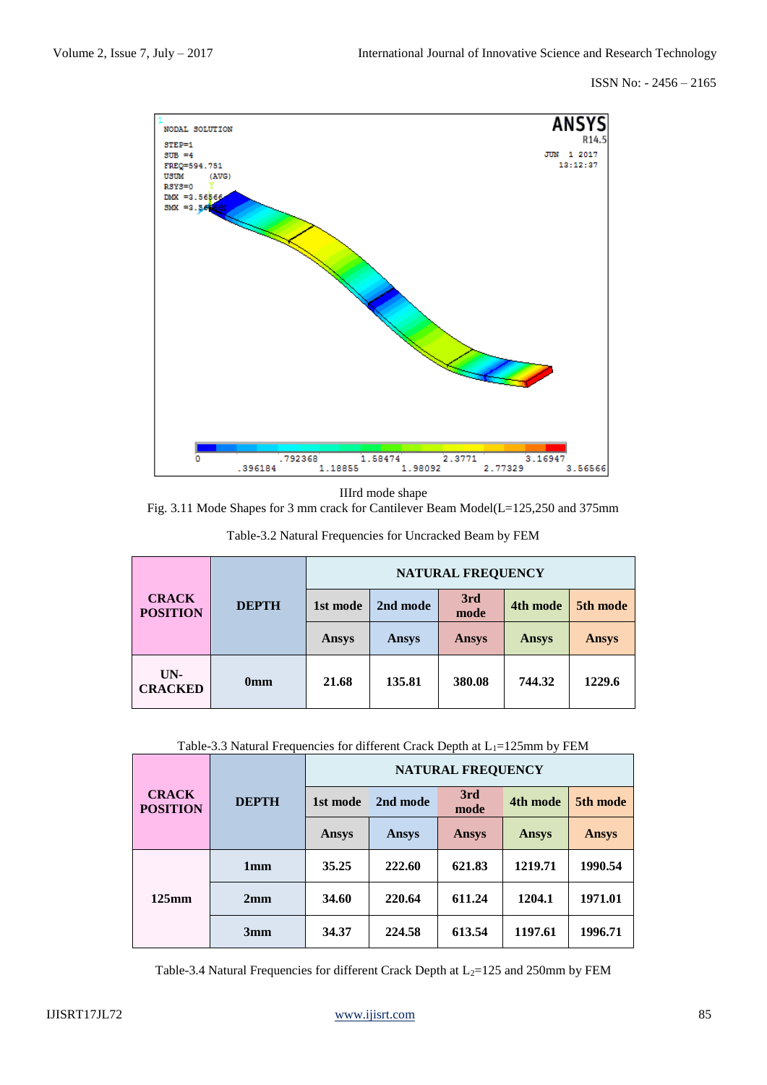

IIIrd mode shape

Fig. 3.11 Mode Shapes for 3 mm crack for Cantilever Beam Model(L=125,250 and 375mm

| <b>CRACK</b><br><b>POSITION</b> |                 | <b>NATURAL FREQUENCY</b> |        |             |              |              |  |
|---------------------------------|-----------------|--------------------------|--------|-------------|--------------|--------------|--|
|                                 | <b>DEPTH</b>    | 2nd mode<br>1st mode     |        | 3rd<br>mode | 4th mode     | 5th mode     |  |
|                                 |                 | Ansys                    | Ansys  | Ansys       | <b>Ansys</b> | <b>Ansys</b> |  |
| UN-<br><b>CRACKED</b>           | 0 <sub>mm</sub> | 21.68                    | 135.81 | 380.08      | 744.32       | 1229.6       |  |

Table-3.2 Natural Frequencies for Uncracked Beam by FEM

|  |  |  | Table-3.3 Natural Frequencies for different Crack Depth at L <sub>1</sub> =125mm by FEM |  |
|--|--|--|-----------------------------------------------------------------------------------------|--|
|  |  |  |                                                                                         |  |

| <b>CRACK</b><br><b>POSITION</b> | <b>DEPTH</b>    | <b>NATURAL FREQUENCY</b> |              |              |          |          |  |
|---------------------------------|-----------------|--------------------------|--------------|--------------|----------|----------|--|
|                                 |                 | 1st mode                 | 2nd mode     | 3rd<br>mode  | 4th mode | 5th mode |  |
|                                 |                 | <b>Ansys</b>             | <b>Ansys</b> | <b>Ansys</b> | Ansys    | Ansys    |  |
| $125$ mm                        | 1 <sub>mm</sub> | 35.25                    | 222.60       | 621.83       | 1219.71  | 1990.54  |  |
|                                 | 2mm             | 34.60                    | 220.64       | 611.24       | 1204.1   | 1971.01  |  |
|                                 | 3mm             | 34.37                    | 224.58       | 613.54       | 1197.61  | 1996.71  |  |

Table-3.4 Natural Frequencies for different Crack Depth at  $L_2$ =125 and 250mm by FEM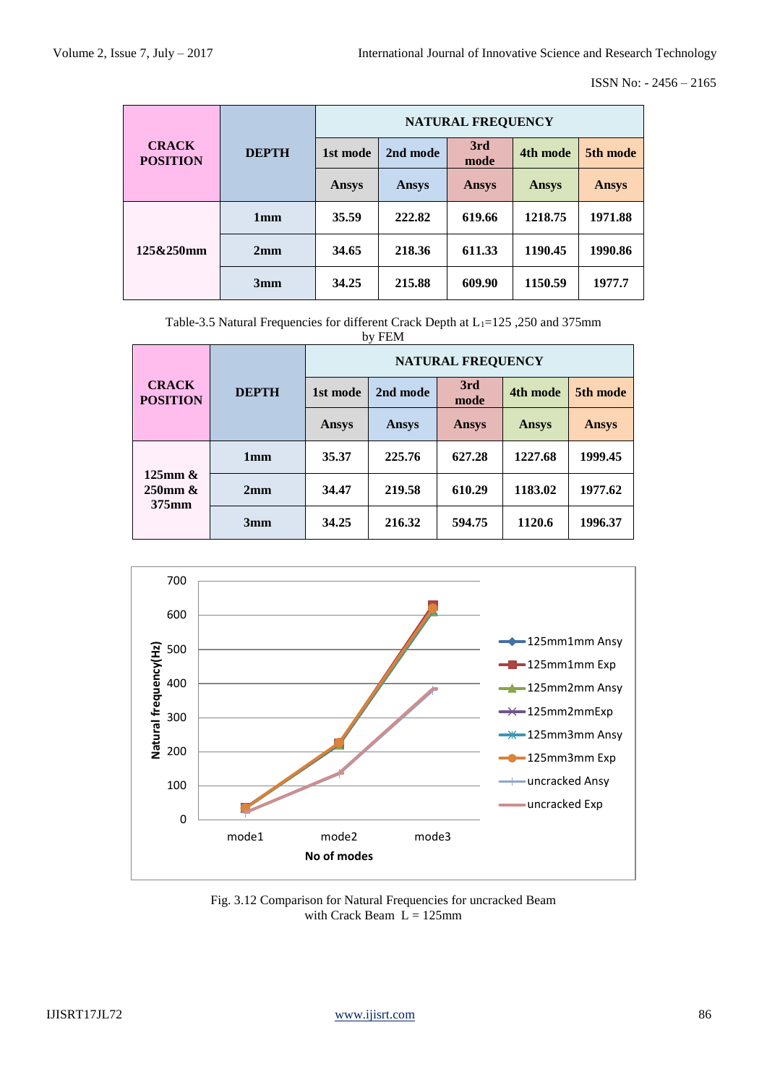|                                 |                 | <b>NATURAL FREQUENCY</b> |          |             |              |              |  |
|---------------------------------|-----------------|--------------------------|----------|-------------|--------------|--------------|--|
| <b>CRACK</b><br><b>POSITION</b> | <b>DEPTH</b>    | 1st mode                 | 2nd mode | 3rd<br>mode | 4th mode     | 5th mode     |  |
|                                 |                 | Ansys                    | Ansys    | Ansys       | <b>Ansys</b> | <b>Ansys</b> |  |
| 125&250mm                       | 1 <sub>mm</sub> | 35.59                    | 222.82   | 619.66      | 1218.75      | 1971.88      |  |
|                                 | 2mm             | 34.65                    | 218.36   | 611.33      | 1190.45      | 1990.86      |  |
|                                 | 3mm             | 34.25                    | 215.88   | 609.90      | 1150.59      | 1977.7       |  |

Table-3.5 Natural Frequencies for different Crack Depth at L<sub>1</sub>=125,250 and 375mm by FEM

| <b>CRACK</b><br><b>POSITION</b>            | <b>DEPTH</b> | <b>NATURAL FREQUENCY</b> |              |              |          |          |  |
|--------------------------------------------|--------------|--------------------------|--------------|--------------|----------|----------|--|
|                                            |              | 1st mode                 | 2nd mode     | 3rd<br>mode  | 4th mode | 5th mode |  |
|                                            |              | Ansys                    | <b>Ansys</b> | <b>Ansys</b> | Ansys    | Ansys    |  |
| $125$ mm $\&$<br>$250$ mm $\&$<br>$375$ mm | 1mm          | 35.37                    | 225.76       | 627.28       | 1227.68  | 1999.45  |  |
|                                            | 2mm          | 34.47                    | 219.58       | 610.29       | 1183.02  | 1977.62  |  |
|                                            | 3mm          | 34.25                    | 216.32       | 594.75       | 1120.6   | 1996.37  |  |



Fig. 3.12 Comparison for Natural Frequencies for uncracked Beam with Crack Beam  $L = 125$ mm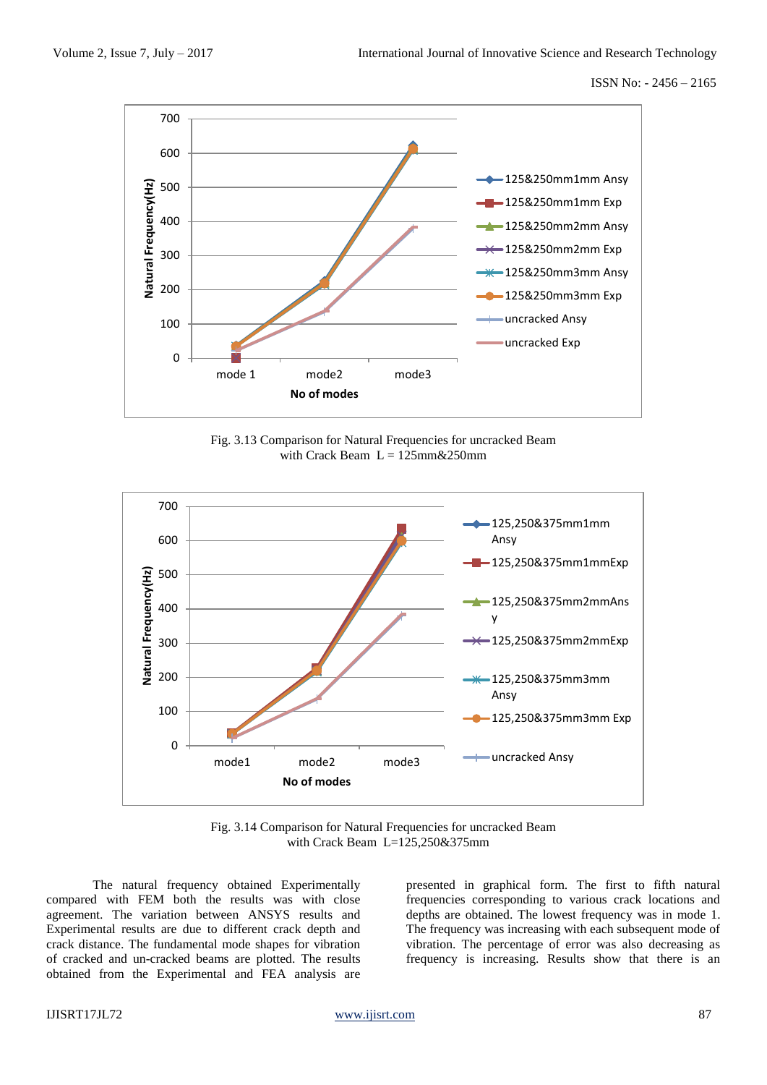

Fig. 3.13 Comparison for Natural Frequencies for uncracked Beam with Crack Beam  $L = 125$ mm & 250mm



Fig. 3.14 Comparison for Natural Frequencies for uncracked Beam with Crack Beam  $L=125.250\&375$ mm

The natural frequency obtained Experimentally compared with FEM both the results was with close agreement. The variation between ANSYS results and Experimental results are due to different crack depth and crack distance. The fundamental mode shapes for vibration of cracked and un-cracked beams are plotted. The results obtained from the Experimental and FEA analysis are

presented in graphical form. The first to fifth natural frequencies corresponding to various crack locations and depths are obtained. The lowest frequency was in mode 1. The frequency was increasing with each subsequent mode of vibration. The percentage of error was also decreasing as frequency is increasing. Results show that there is an